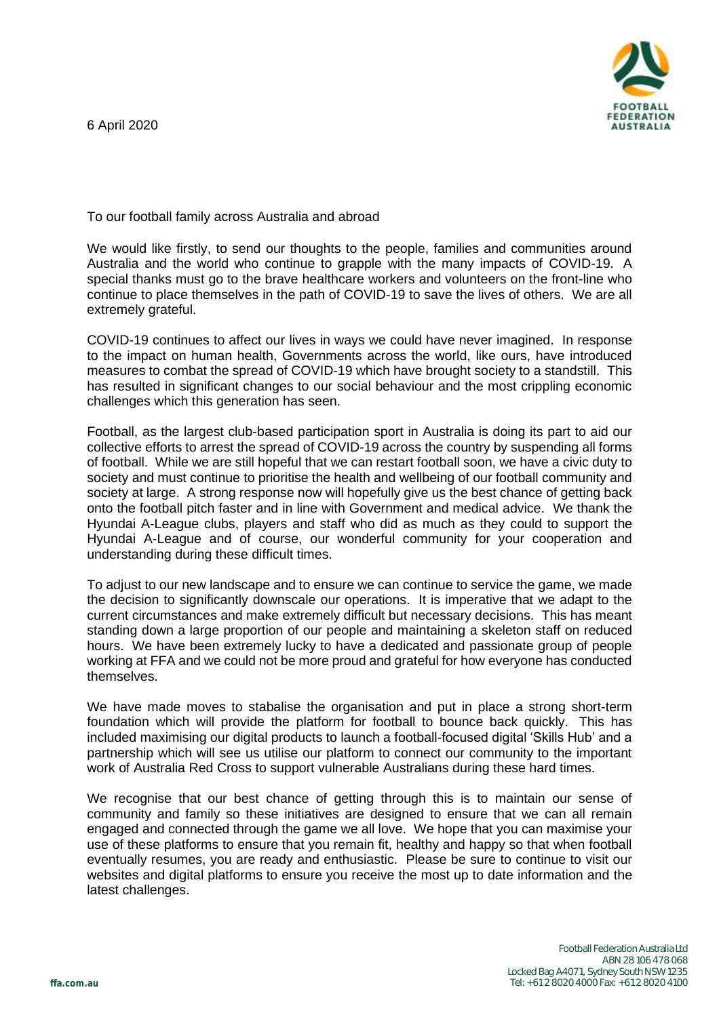6 April 2020



To our football family across Australia and abroad

We would like firstly, to send our thoughts to the people, families and communities around Australia and the world who continue to grapple with the many impacts of COVID-19. A special thanks must go to the brave healthcare workers and volunteers on the front-line who continue to place themselves in the path of COVID-19 to save the lives of others. We are all extremely grateful.

COVID-19 continues to affect our lives in ways we could have never imagined. In response to the impact on human health, Governments across the world, like ours, have introduced measures to combat the spread of COVID-19 which have brought society to a standstill. This has resulted in significant changes to our social behaviour and the most crippling economic challenges which this generation has seen.

Football, as the largest club-based participation sport in Australia is doing its part to aid our collective efforts to arrest the spread of COVID-19 across the country by suspending all forms of football. While we are still hopeful that we can restart football soon, we have a civic duty to society and must continue to prioritise the health and wellbeing of our football community and society at large. A strong response now will hopefully give us the best chance of getting back onto the football pitch faster and in line with Government and medical advice. We thank the Hyundai A-League clubs, players and staff who did as much as they could to support the Hyundai A-League and of course, our wonderful community for your cooperation and understanding during these difficult times.

To adjust to our new landscape and to ensure we can continue to service the game, we made the decision to significantly downscale our operations. It is imperative that we adapt to the current circumstances and make extremely difficult but necessary decisions. This has meant standing down a large proportion of our people and maintaining a skeleton staff on reduced hours. We have been extremely lucky to have a dedicated and passionate group of people working at FFA and we could not be more proud and grateful for how everyone has conducted themselves.

We have made moves to stabalise the organisation and put in place a strong short-term foundation which will provide the platform for football to bounce back quickly. This has included maximising our digital products to launch a football-focused digital 'Skills Hub' and a partnership which will see us utilise our platform to connect our community to the important work of Australia Red Cross to support vulnerable Australians during these hard times.

We recognise that our best chance of getting through this is to maintain our sense of community and family so these initiatives are designed to ensure that we can all remain engaged and connected through the game we all love. We hope that you can maximise your use of these platforms to ensure that you remain fit, healthy and happy so that when football eventually resumes, you are ready and enthusiastic. Please be sure to continue to visit our websites and digital platforms to ensure you receive the most up to date information and the latest challenges.